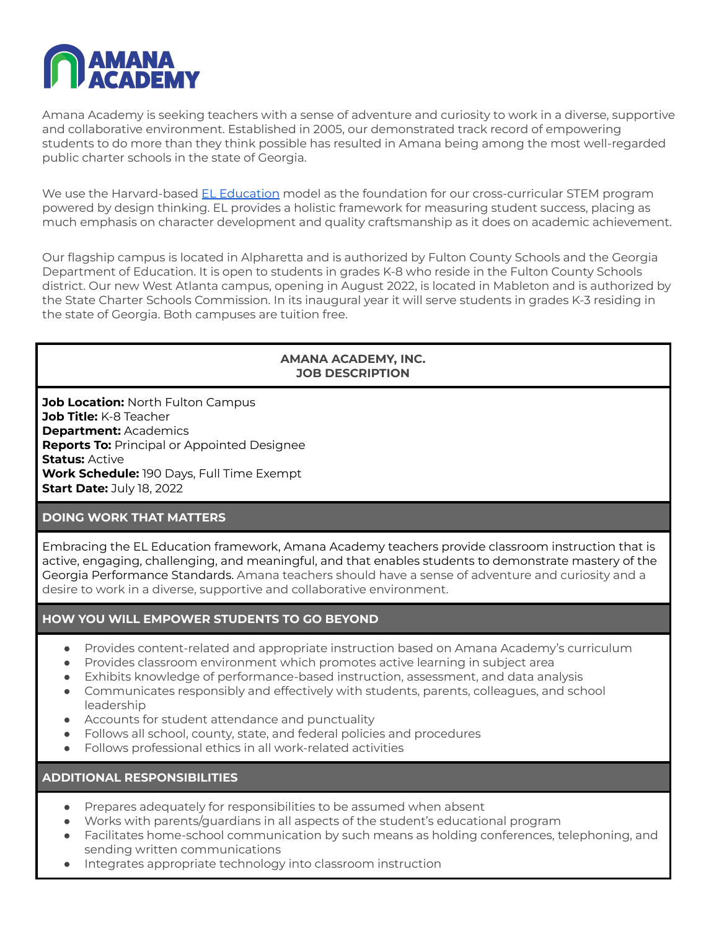

Amana Academy is seeking teachers with a sense of adventure and curiosity to work in a diverse, supportive and collaborative environment. Established in 2005, our demonstrated track record of empowering students to do more than they think possible has resulted in Amana being among the most well-regarded public charter schools in the state of Georgia.

We use the Harvard-based EL [Education](https://eleducation.org/) model as the foundation for our cross-curricular STEM program powered by design thinking. EL provides a holistic framework for measuring student success, placing as much emphasis on character development and quality craftsmanship as it does on academic achievement.

Our flagship campus is located in Alpharetta and is authorized by Fulton County Schools and the Georgia Department of Education. It is open to students in grades K-8 who reside in the Fulton County Schools district. Our new West Atlanta campus, opening in August 2022, is located in Mableton and is authorized by the State Charter Schools Commission. In its inaugural year it will serve students in grades K-3 residing in the state of Georgia. Both campuses are tuition free.

### **AMANA ACADEMY, INC. JOB DESCRIPTION**

**Job Location:** North Fulton Campus **Job Title:** K-8 Teacher **Department:** Academics **Reports To:** Principal or Appointed Designee **Status:** Active **Work Schedule:** 190 Days, Full Time Exempt **Start Date:** July 18, 2022

### **DOING WORK THAT MATTERS**

Embracing the EL Education framework, Amana Academy teachers provide classroom instruction that is active, engaging, challenging, and meaningful, and that enables students to demonstrate mastery of the Georgia Performance Standards. Amana teachers should have a sense of adventure and curiosity and a desire to work in a diverse, supportive and collaborative environment.

# **HOW YOU WILL EMPOWER STUDENTS TO GO BEYOND**

- Provides content-related and appropriate instruction based on Amana Academy's curriculum
- Provides classroom environment which promotes active learning in subject area
- Exhibits knowledge of performance-based instruction, assessment, and data analysis
- Communicates responsibly and effectively with students, parents, colleagues, and school leadership
- Accounts for student attendance and punctuality
- Follows all school, county, state, and federal policies and procedures
- Follows professional ethics in all work-related activities

**ADDITIONAL RESPONSIBILITIES**

- Prepares adequately for responsibilities to be assumed when absent
- Works with parents/guardians in all aspects of the student's educational program
- Facilitates home-school communication by such means as holding conferences, telephoning, and sending written communications
- Integrates appropriate technology into classroom instruction